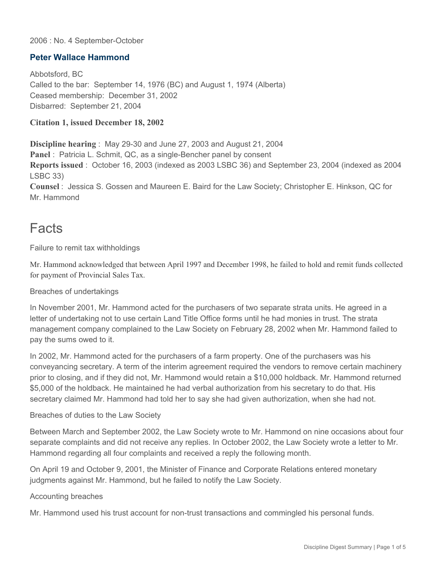#### 2006 : No. 4 September-October

### **Peter Wallace Hammond**

Abbotsford, BC Called to the bar: September 14, 1976 (BC) and August 1, 1974 (Alberta) Ceased membership: December 31, 2002 Disbarred: September 21, 2004

#### **Citation 1, issued December 18, 2002**

**Discipline hearing** : May 29-30 and June 27, 2003 and August 21, 2004 **Panel** : Patricia L. Schmit, QC, as a single-Bencher panel by consent **Reports issued** : October 16, 2003 (indexed as 2003 LSBC 36) and September 23, 2004 (indexed as 2004 LSBC 33)

**Counsel** : Jessica S. Gossen and Maureen E. Baird for the Law Society; Christopher E. Hinkson, QC for Mr. Hammond

### Facts

Failure to remit tax withholdings

Mr. Hammond acknowledged that between April 1997 and December 1998, he failed to hold and remit funds collected for payment of Provincial Sales Tax.

#### Breaches of undertakings

In November 2001, Mr. Hammond acted for the purchasers of two separate strata units. He agreed in a letter of undertaking not to use certain Land Title Office forms until he had monies in trust. The strata management company complained to the Law Society on February 28, 2002 when Mr. Hammond failed to pay the sums owed to it.

In 2002, Mr. Hammond acted for the purchasers of a farm property. One of the purchasers was his conveyancing secretary. A term of the interim agreement required the vendors to remove certain machinery prior to closing, and if they did not, Mr. Hammond would retain a \$10,000 holdback. Mr. Hammond returned \$5,000 of the holdback. He maintained he had verbal authorization from his secretary to do that. His secretary claimed Mr. Hammond had told her to say she had given authorization, when she had not.

#### Breaches of duties to the Law Society

Between March and September 2002, the Law Society wrote to Mr. Hammond on nine occasions about four separate complaints and did not receive any replies. In October 2002, the Law Society wrote a letter to Mr. Hammond regarding all four complaints and received a reply the following month.

On April 19 and October 9, 2001, the Minister of Finance and Corporate Relations entered monetary judgments against Mr. Hammond, but he failed to notify the Law Society.

#### Accounting breaches

Mr. Hammond used his trust account for non-trust transactions and commingled his personal funds.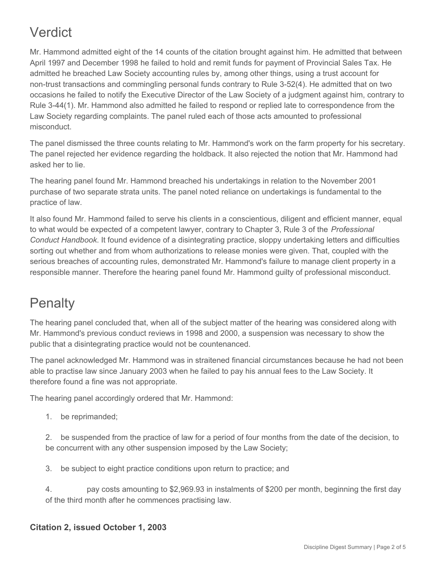# Verdict

Mr. Hammond admitted eight of the 14 counts of the citation brought against him. He admitted that between April 1997 and December 1998 he failed to hold and remit funds for payment of Provincial Sales Tax. He admitted he breached Law Society accounting rules by, among other things, using a trust account for non-trust transactions and commingling personal funds contrary to Rule 3-52(4). He admitted that on two occasions he failed to notify the Executive Director of the Law Society of a judgment against him, contrary to Rule 3-44(1). Mr. Hammond also admitted he failed to respond or replied late to correspondence from the Law Society regarding complaints. The panel ruled each of those acts amounted to professional misconduct.

The panel dismissed the three counts relating to Mr. Hammond's work on the farm property for his secretary. The panel rejected her evidence regarding the holdback. It also rejected the notion that Mr. Hammond had asked her to lie.

The hearing panel found Mr. Hammond breached his undertakings in relation to the November 2001 purchase of two separate strata units. The panel noted reliance on undertakings is fundamental to the practice of law.

It also found Mr. Hammond failed to serve his clients in a conscientious, diligent and efficient manner, equal to what would be expected of a competent lawyer, contrary to Chapter 3, Rule 3 of the *Professional Conduct Handbook*. It found evidence of a disintegrating practice, sloppy undertaking letters and difficulties sorting out whether and from whom authorizations to release monies were given. That, coupled with the serious breaches of accounting rules, demonstrated Mr. Hammond's failure to manage client property in a responsible manner. Therefore the hearing panel found Mr. Hammond guilty of professional misconduct.

### **Penalty**

The hearing panel concluded that, when all of the subject matter of the hearing was considered along with Mr. Hammond's previous conduct reviews in 1998 and 2000, a suspension was necessary to show the public that a disintegrating practice would not be countenanced.

The panel acknowledged Mr. Hammond was in straitened financial circumstances because he had not been able to practise law since January 2003 when he failed to pay his annual fees to the Law Society. It therefore found a fine was not appropriate.

The hearing panel accordingly ordered that Mr. Hammond:

1. be reprimanded;

2. be suspended from the practice of law for a period of four months from the date of the decision, to be concurrent with any other suspension imposed by the Law Society;

3. be subject to eight practice conditions upon return to practice; and

4. pay costs amounting to \$2,969.93 in instalments of \$200 per month, beginning the first day of the third month after he commences practising law.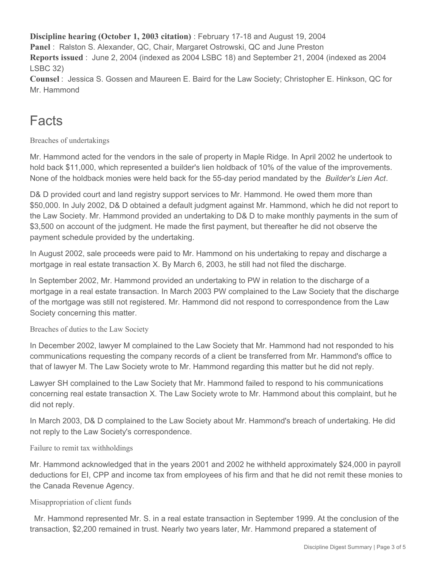**Discipline hearing (October 1, 2003 citation)** : February 17-18 and August 19, 2004 **Panel** : Ralston S. Alexander, QC, Chair, Margaret Ostrowski, QC and June Preston **Reports issued** : June 2, 2004 (indexed as 2004 LSBC 18) and September 21, 2004 (indexed as 2004 LSBC 32) **Counsel** : Jessica S. Gossen and Maureen E. Baird for the Law Society; Christopher E. Hinkson, QC for

Mr. Hammond

## **Facts**

Breaches of undertakings

Mr. Hammond acted for the vendors in the sale of property in Maple Ridge. In April 2002 he undertook to hold back \$11,000, which represented a builder's lien holdback of 10% of the value of the improvements. None of the holdback monies were held back for the 55-day period mandated by the *Builder's Lien Act*.

D& D provided court and land registry support services to Mr. Hammond. He owed them more than \$50,000. In July 2002, D& D obtained a default judgment against Mr. Hammond, which he did not report to the Law Society. Mr. Hammond provided an undertaking to D& D to make monthly payments in the sum of \$3,500 on account of the judgment. He made the first payment, but thereafter he did not observe the payment schedule provided by the undertaking.

In August 2002, sale proceeds were paid to Mr. Hammond on his undertaking to repay and discharge a mortgage in real estate transaction X. By March 6, 2003, he still had not filed the discharge.

In September 2002, Mr. Hammond provided an undertaking to PW in relation to the discharge of a mortgage in a real estate transaction. In March 2003 PW complained to the Law Society that the discharge of the mortgage was still not registered. Mr. Hammond did not respond to correspondence from the Law Society concerning this matter.

Breaches of duties to the Law Society

In December 2002, lawyer M complained to the Law Society that Mr. Hammond had not responded to his communications requesting the company records of a client be transferred from Mr. Hammond's office to that of lawyer M. The Law Society wrote to Mr. Hammond regarding this matter but he did not reply.

Lawyer SH complained to the Law Society that Mr. Hammond failed to respond to his communications concerning real estate transaction X. The Law Society wrote to Mr. Hammond about this complaint, but he did not reply.

In March 2003, D& D complained to the Law Society about Mr. Hammond's breach of undertaking. He did not reply to the Law Society's correspondence.

### Failure to remit tax withholdings

Mr. Hammond acknowledged that in the years 2001 and 2002 he withheld approximately \$24,000 in payroll deductions for EI, CPP and income tax from employees of his firm and that he did not remit these monies to the Canada Revenue Agency.

### Misappropriation of client funds

Mr. Hammond represented Mr. S. in a real estate transaction in September 1999. At the conclusion of the transaction, \$2,200 remained in trust. Nearly two years later, Mr. Hammond prepared a statement of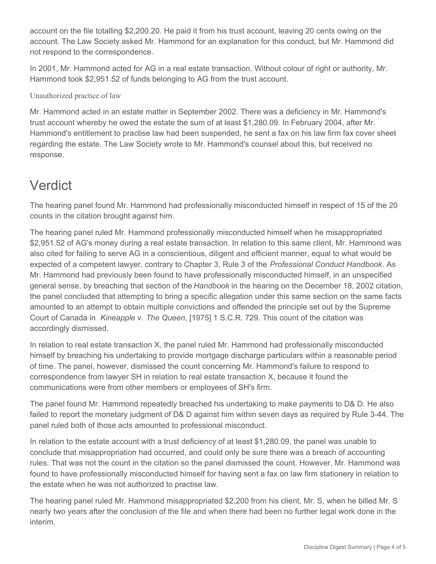account on the file totalling \$2,200.20. He paid it from his trust account, leaving 20 cents owing on the account. The Law Society asked Mr. Hammond for an explanation for this conduct, but Mr. Hammond did not respond to the correspondence.

In 2001, Mr. Hammond acted for AG in a real estate transaction. Without colour of right or authority, Mr. Hammond took \$2,951.52 of funds belonging to AG from the trust account.

Unauthorized practice of law

Mr. Hammond acted in an estate matter in September 2002. There was a deficiency in Mr. Hammond's trust account whereby he owed the estate the sum of at least \$1,280.09. In February 2004, after Mr. Hammond's entitlement to practise law had been suspended, he sent a fax on his law firm fax cover sheet regarding the estate. The Law Society wrote to Mr. Hammond's counsel about this, but received no response.

## Verdict

The hearing panel found Mr. Hammond had professionally misconducted himself in respect of 15 of the 20 counts in the citation brought against him.

The hearing panel ruled Mr. Hammond professionally misconducted himself when he misappropriated \$2,951.52 of AG's money during a real estate transaction. In relation to this same client, Mr. Hammond was also cited for failing to serve AG in a conscientious, diligent and efficient manner, equal to what would be expected of a competent lawyer, contrary to Chapter 3, Rule 3 of the *Professional Conduct Handbook*. As Mr. Hammond had previously been found to have professionally misconducted himself, in an unspecified general sense, by breaching that section of the *Handbook* in the hearing on the December 18, 2002 citation, the panel concluded that attempting to bring a specific allegation under this same section on the same facts amounted to an attempt to obtain multiple convictions and offended the principle set out by the Supreme Court of Canada in *Kineapple* v. *The Queen*, [1975] 1 S.C.R. 729. This count of the citation was accordingly dismissed.

In relation to real estate transaction X, the panel ruled Mr. Hammond had professionally misconducted himself by breaching his undertaking to provide mortgage discharge particulars within a reasonable period of time. The panel, however, dismissed the count concerning Mr. Hammond's failure to respond to correspondence from lawyer SH in relation to real estate transaction X, because it found the communications were from other members or employees of SH's firm.

The panel found Mr. Hammond repeatedly breached his undertaking to make payments to D& D. He also failed to report the monetary judgment of D& D against him within seven days as required by Rule 3-44. The panel ruled both of those acts amounted to professional misconduct.

In relation to the estate account with a trust deficiency of at least \$1,280.09, the panel was unable to conclude that misappropriation had occurred, and could only be sure there was a breach of accounting rules. That was not the count in the citation so the panel dismissed the count. However, Mr. Hammond was found to have professionally misconducted himself for having sent a fax on law firm stationery in relation to the estate when he was not authorized to practise law.

The hearing panel ruled Mr. Hammond misappropriated \$2,200 from his client, Mr. S, when he billed Mr. S nearly two years after the conclusion of the file and when there had been no further legal work done in the interim.